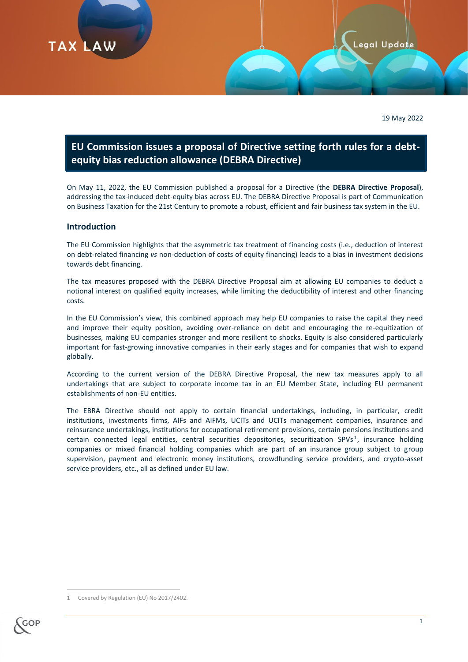

19 May 2022

# **EU Commission issues a proposal of Directive setting forth rules for a debtequity bias reduction allowance (DEBRA Directive)**

On May 11, 2022, the EU Commission published a proposal for a Directive (the **DEBRA Directive Proposal**), addressing the tax-induced debt-equity bias across EU. The DEBRA Directive Proposal is part of Communication on Business Taxation for the 21st Century to promote a robust, efficient and fair business tax system in the EU.

#### **Introduction**

**TAX LAW** 

The EU Commission highlights that the asymmetric tax treatment of financing costs (i.e., deduction of interest on debt-related financing *vs* non-deduction of costs of equity financing) leads to a bias in investment decisions towards debt financing.

The tax measures proposed with the DEBRA Directive Proposal aim at allowing EU companies to deduct a notional interest on qualified equity increases, while limiting the deductibility of interest and other financing costs.

In the EU Commission's view, this combined approach may help EU companies to raise the capital they need and improve their equity position, avoiding over-reliance on debt and encouraging the re-equitization of businesses, making EU companies stronger and more resilient to shocks. Equity is also considered particularly important for fast-growing innovative companies in their early stages and for companies that wish to expand globally.

According to the current version of the DEBRA Directive Proposal, the new tax measures apply to all undertakings that are subject to corporate income tax in an EU Member State, including EU permanent establishments of non-EU entities.

The EBRA Directive should not apply to certain financial undertakings, including, in particular, credit institutions, investments firms, AIFs and AIFMs, UCITs and UCITs management companies, insurance and reinsurance undertakings, institutions for occupational retirement provisions, certain pensions institutions and certain connected legal entities, central securities depositories, securitization SPVs<sup>1</sup>, insurance holding companies or mixed financial holding companies which are part of an insurance group subject to group supervision, payment and electronic money institutions, crowdfunding service providers, and crypto-asset service providers, etc., all as defined under EU law.

Covered by Regulation (EU) No 2017/2402.



**.**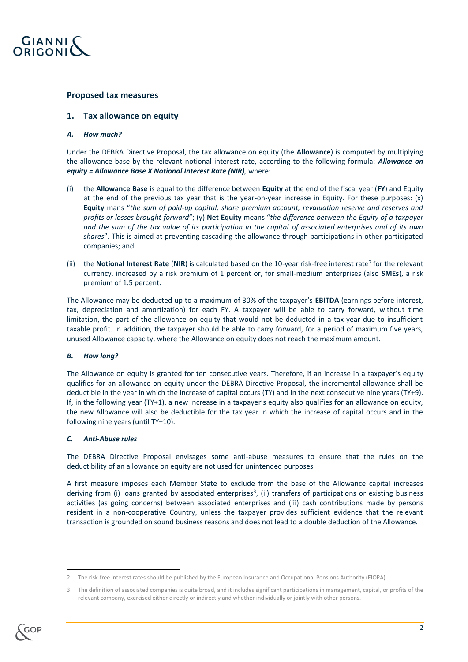

#### **Proposed tax measures**

#### **1. Tax allowance on equity**

#### *A. How much?*

Under the DEBRA Directive Proposal, the tax allowance on equity (the **Allowance**) is computed by multiplying the allowance base by the relevant notional interest rate, according to the following formula: *Allowance on equity = Allowance Base X Notional Interest Rate (NIR),* where:

- (i) the **Allowance Base** is equal to the difference between **Equity** at the end of the fiscal year (**FY**) and Equity at the end of the previous tax year that is the year-on-year increase in Equity. For these purposes: (x) **Equity** mans "*the sum of paid-up capital, share premium account, revaluation reserve and reserves and profits or losses brought forward*"; (y) **Net Equity** means "*the difference between the Equity of a taxpayer and the sum of the tax value of its participation in the capital of associated enterprises and of its own shares*". This is aimed at preventing cascading the allowance through participations in other participated companies; and
- (ii) the **Notional Interest Rate (NIR**) is calculated based on the 10-year risk-free interest rate<sup>2</sup> for the relevant currency, increased by a risk premium of 1 percent or, for small-medium enterprises (also **SMEs**), a risk premium of 1.5 percent.

The Allowance may be deducted up to a maximum of 30% of the taxpayer's **EBITDA** (earnings before interest, tax, depreciation and amortization) for each FY. A taxpayer will be able to carry forward, without time limitation, the part of the allowance on equity that would not be deducted in a tax year due to insufficient taxable profit. In addition, the taxpayer should be able to carry forward, for a period of maximum five years, unused Allowance capacity, where the Allowance on equity does not reach the maximum amount.

#### *B. How long?*

The Allowance on equity is granted for ten consecutive years. Therefore, if an increase in a taxpayer's equity qualifies for an allowance on equity under the DEBRA Directive Proposal, the incremental allowance shall be deductible in the year in which the increase of capital occurs (TY) and in the next consecutive nine years (TY+9). If, in the following year (TY+1), a new increase in a taxpayer's equity also qualifies for an allowance on equity, the new Allowance will also be deductible for the tax year in which the increase of capital occurs and in the following nine years (until TY+10).

#### *C. Anti-Abuse rules*

The DEBRA Directive Proposal envisages some anti-abuse measures to ensure that the rules on the deductibility of an allowance on equity are not used for unintended purposes.

A first measure imposes each Member State to exclude from the base of the Allowance capital increases deriving from (i) loans granted by associated enterprises<sup>3</sup>, (ii) transfers of participations or existing business activities (as going concerns) between associated enterprises and (iii) cash contributions made by persons resident in a non-cooperative Country, unless the taxpayer provides sufficient evidence that the relevant transaction is grounded on sound business reasons and does not lead to a double deduction of the Allowance.

 $\overline{a}$ 

<sup>2</sup> The risk-free interest rates should be published by the European Insurance and Occupational Pensions Authority (EIOPA).

<sup>3</sup> The definition of associated companies is quite broad, and it includes significant participations in management, capital, or profits of the relevant company, exercised either directly or indirectly and whether individually or jointly with other persons.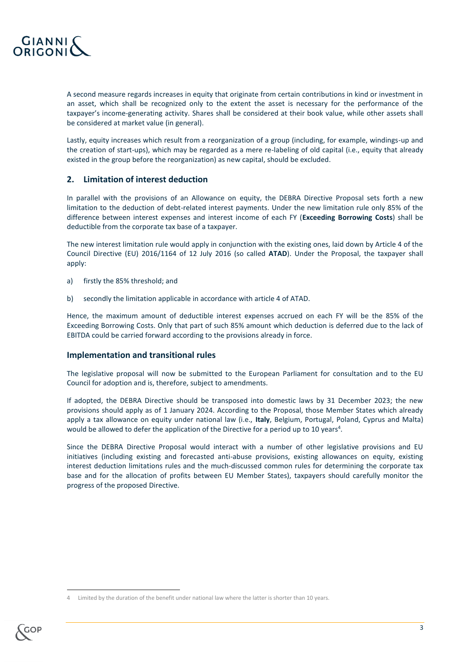

A second measure regards increases in equity that originate from certain contributions in kind or investment in an asset, which shall be recognized only to the extent the asset is necessary for the performance of the taxpayer's income-generating activity. Shares shall be considered at their book value, while other assets shall be considered at market value (in general).

Lastly, equity increases which result from a reorganization of a group (including, for example, windings-up and the creation of start-ups), which may be regarded as a mere re-labeling of old capital (i.e., equity that already existed in the group before the reorganization) as new capital, should be excluded.

## **2. Limitation of interest deduction**

In parallel with the provisions of an Allowance on equity, the DEBRA Directive Proposal sets forth a new limitation to the deduction of debt-related interest payments. Under the new limitation rule only 85% of the difference between interest expenses and interest income of each FY (**Exceeding Borrowing Costs**) shall be deductible from the corporate tax base of a taxpayer.

The new interest limitation rule would apply in conjunction with the existing ones, laid down by Article 4 of the Council Directive (EU) 2016/1164 of 12 July 2016 (so called **ATAD**). Under the Proposal, the taxpayer shall apply:

- a) firstly the 85% threshold; and
- b) secondly the limitation applicable in accordance with article 4 of ATAD.

Hence, the maximum amount of deductible interest expenses accrued on each FY will be the 85% of the Exceeding Borrowing Costs. Only that part of such 85% amount which deduction is deferred due to the lack of EBITDA could be carried forward according to the provisions already in force.

#### **Implementation and transitional rules**

The legislative proposal will now be submitted to the European Parliament for consultation and to the EU Council for adoption and is, therefore, subject to amendments.

If adopted, the DEBRA Directive should be transposed into domestic laws by 31 December 2023; the new provisions should apply as of 1 January 2024. According to the Proposal, those Member States which already apply a tax allowance on equity under national law (i.e., **Italy**, Belgium, Portugal, Poland, Cyprus and Malta) would be allowed to defer the application of the Directive for a period up to 10 years<sup>4</sup>.

Since the DEBRA Directive Proposal would interact with a number of other legislative provisions and EU initiatives (including existing and forecasted anti-abuse provisions, existing allowances on equity, existing interest deduction limitations rules and the much-discussed common rules for determining the corporate tax base and for the allocation of profits between EU Member States), taxpayers should carefully monitor the progress of the proposed Directive.

Limited by the duration of the benefit under national law where the latter is shorter than 10 years.



**.**